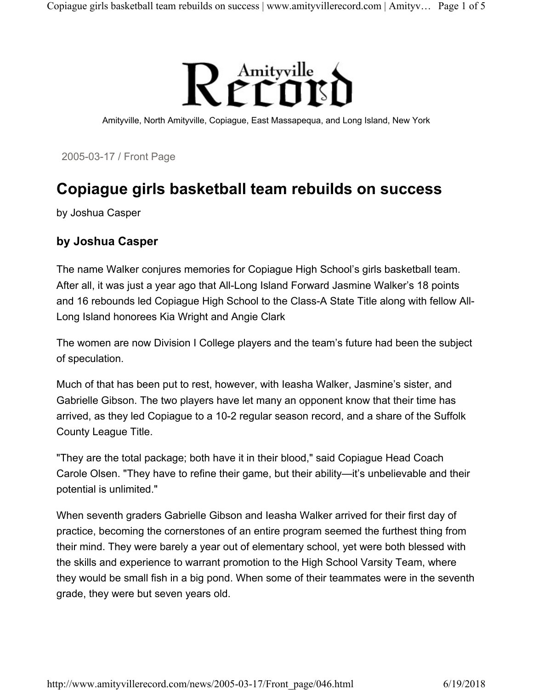

Amityville, North Amityville, Copiague, East Massapequa, and Long Island, New York

2005-03-17 / Front Page

## Copiague girls basketball team rebuilds on success

by Joshua Casper

## by Joshua Casper

The name Walker conjures memories for Copiague High School's girls basketball team. After all, it was just a year ago that All-Long Island Forward Jasmine Walker's 18 points and 16 rebounds led Copiague High School to the Class-A State Title along with fellow All-Long Island honorees Kia Wright and Angie Clark

The women are now Division I College players and the team's future had been the subject of speculation.

Much of that has been put to rest, however, with Ieasha Walker, Jasmine's sister, and Gabrielle Gibson. The two players have let many an opponent know that their time has arrived, as they led Copiague to a 10-2 regular season record, and a share of the Suffolk County League Title.

"They are the total package; both have it in their blood," said Copiague Head Coach Carole Olsen. "They have to refine their game, but their ability—it's unbelievable and their potential is unlimited."

When seventh graders Gabrielle Gibson and Ieasha Walker arrived for their first day of practice, becoming the cornerstones of an entire program seemed the furthest thing from their mind. They were barely a year out of elementary school, yet were both blessed with the skills and experience to warrant promotion to the High School Varsity Team, where they would be small fish in a big pond. When some of their teammates were in the seventh grade, they were but seven years old.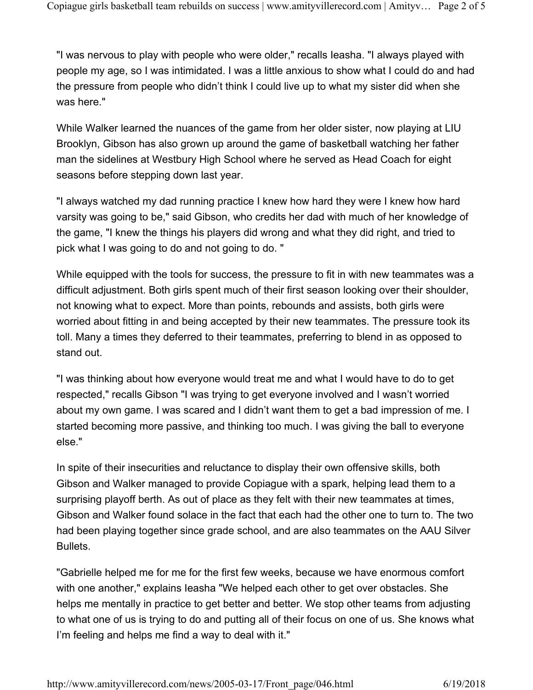"I was nervous to play with people who were older," recalls Ieasha. "I always played with people my age, so I was intimidated. I was a little anxious to show what I could do and had the pressure from people who didn't think I could live up to what my sister did when she was here."

While Walker learned the nuances of the game from her older sister, now playing at LIU Brooklyn, Gibson has also grown up around the game of basketball watching her father man the sidelines at Westbury High School where he served as Head Coach for eight seasons before stepping down last year.

"I always watched my dad running practice I knew how hard they were I knew how hard varsity was going to be," said Gibson, who credits her dad with much of her knowledge of the game, "I knew the things his players did wrong and what they did right, and tried to pick what I was going to do and not going to do. "

While equipped with the tools for success, the pressure to fit in with new teammates was a difficult adjustment. Both girls spent much of their first season looking over their shoulder, not knowing what to expect. More than points, rebounds and assists, both girls were worried about fitting in and being accepted by their new teammates. The pressure took its toll. Many a times they deferred to their teammates, preferring to blend in as opposed to stand out.

"I was thinking about how everyone would treat me and what I would have to do to get respected," recalls Gibson "I was trying to get everyone involved and I wasn't worried about my own game. I was scared and I didn't want them to get a bad impression of me. I started becoming more passive, and thinking too much. I was giving the ball to everyone else."

In spite of their insecurities and reluctance to display their own offensive skills, both Gibson and Walker managed to provide Copiague with a spark, helping lead them to a surprising playoff berth. As out of place as they felt with their new teammates at times, Gibson and Walker found solace in the fact that each had the other one to turn to. The two had been playing together since grade school, and are also teammates on the AAU Silver Bullets.

"Gabrielle helped me for me for the first few weeks, because we have enormous comfort with one another," explains Ieasha "We helped each other to get over obstacles. She helps me mentally in practice to get better and better. We stop other teams from adjusting to what one of us is trying to do and putting all of their focus on one of us. She knows what I'm feeling and helps me find a way to deal with it."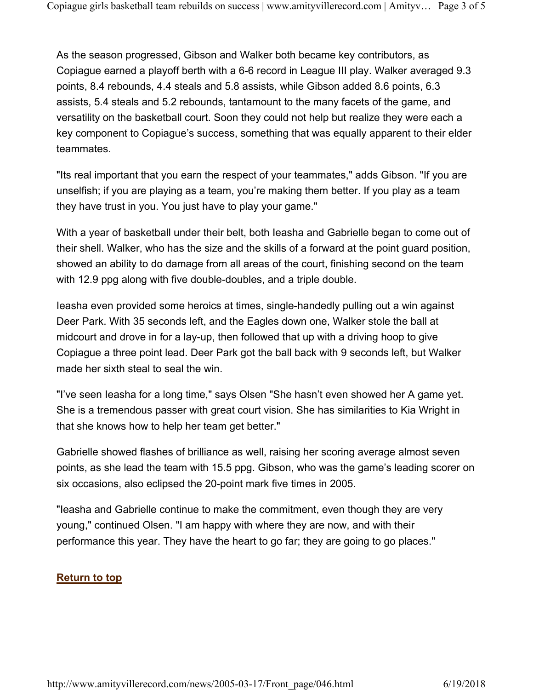As the season progressed, Gibson and Walker both became key contributors, as Copiague earned a playoff berth with a 6-6 record in League III play. Walker averaged 9.3 points, 8.4 rebounds, 4.4 steals and 5.8 assists, while Gibson added 8.6 points, 6.3 assists, 5.4 steals and 5.2 rebounds, tantamount to the many facets of the game, and versatility on the basketball court. Soon they could not help but realize they were each a key component to Copiague's success, something that was equally apparent to their elder teammates.

"Its real important that you earn the respect of your teammates," adds Gibson. "If you are unselfish; if you are playing as a team, you're making them better. If you play as a team they have trust in you. You just have to play your game."

With a year of basketball under their belt, both Ieasha and Gabrielle began to come out of their shell. Walker, who has the size and the skills of a forward at the point guard position, showed an ability to do damage from all areas of the court, finishing second on the team with 12.9 ppg along with five double-doubles, and a triple double.

Ieasha even provided some heroics at times, single-handedly pulling out a win against Deer Park. With 35 seconds left, and the Eagles down one, Walker stole the ball at midcourt and drove in for a lay-up, then followed that up with a driving hoop to give Copiague a three point lead. Deer Park got the ball back with 9 seconds left, but Walker made her sixth steal to seal the win.

"I've seen Ieasha for a long time," says Olsen "She hasn't even showed her A game yet. She is a tremendous passer with great court vision. She has similarities to Kia Wright in that she knows how to help her team get better."

Gabrielle showed flashes of brilliance as well, raising her scoring average almost seven points, as she lead the team with 15.5 ppg. Gibson, who was the game's leading scorer on six occasions, also eclipsed the 20-point mark five times in 2005.

"Ieasha and Gabrielle continue to make the commitment, even though they are very young," continued Olsen. "I am happy with where they are now, and with their performance this year. They have the heart to go far; they are going to go places."

## Return to top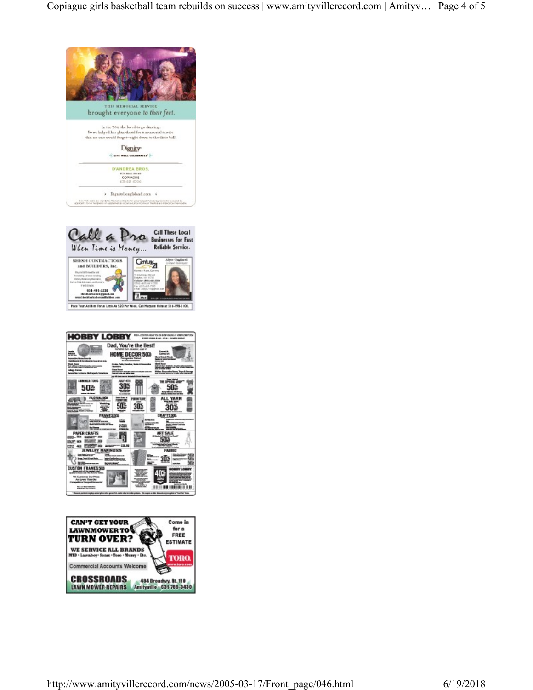